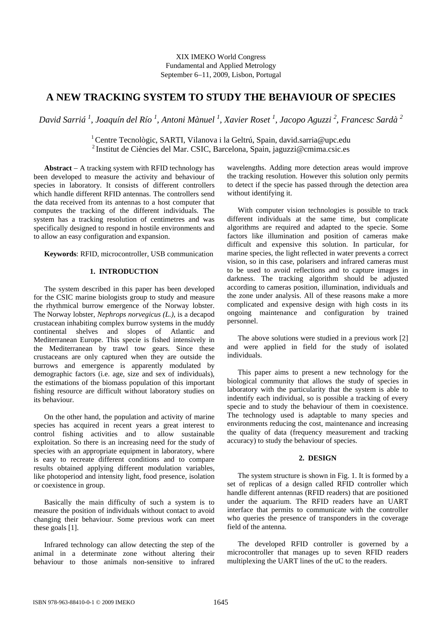# **A NEW TRACKING SYSTEM TO STUDY THE BEHAVIOUR OF SPECIES**

*David Sarriá 1 , Joaquín del Río 1 , Antoni Mànuel 1 , Xavier Roset <sup>1</sup> , Jacopo Aguzzi 2 , Francesc Sardà 2* 

<sup>1</sup> Centre Tecnològic, SARTI, Vilanova i la Geltrú, Spain, david.sarria@upc.edu <sup>2</sup> Institut de Ciències del Mar. CSIC, Barcelona, Spain, jaguzzi@cmima.csic.es

**Abstract**  $-$  A tracking system with RFID technology has been developed to measure the activity and behaviour of species in laboratory. It consists of different controllers which handle different RFID antennas. The controllers send the data received from its antennas to a host computer that computes the tracking of the different individuals. The system has a tracking resolution of centimetres and was specifically designed to respond in hostile environments and to allow an easy configuration and expansion.

**Keywords**: RFID, microcontroller, USB communication

## **1. INTRODUCTION**

The system described in this paper has been developed for the CSIC marine biologists group to study and measure the rhythmical burrow emergence of the Norway lobster. The Norway lobster, *Nephrops norvegicus (L.)*, is a decapod crustacean inhabiting complex burrow systems in the muddy continental shelves and slopes of Atlantic and Mediterranean Europe. This specie is fished intensively in the Mediterranean by trawl tow gears. Since these crustaceans are only captured when they are outside the burrows and emergence is apparently modulated by demographic factors (i.e. age, size and sex of individuals), the estimations of the biomass population of this important fishing resource are difficult without laboratory studies on its behaviour.

On the other hand, the population and activity of marine species has acquired in recent years a great interest to control fishing activities and to allow sustainable exploitation. So there is an increasing need for the study of species with an appropriate equipment in laboratory, where is easy to recreate different conditions and to compare results obtained applying different modulation variables, like photoperiod and intensity light, food presence, isolation or coexistence in group.

Basically the main difficulty of such a system is to measure the position of individuals without contact to avoid changing their behaviour. Some previous work can meet these goals [1].

Infrared technology can allow detecting the step of the animal in a determinate zone without altering their behaviour to those animals non-sensitive to infrared wavelengths. Adding more detection areas would improve the tracking resolution. However this solution only permits to detect if the specie has passed through the detection area without identifying it.

With computer vision technologies is possible to track different individuals at the same time, but complicate algorithms are required and adapted to the specie. Some factors like illumination and position of cameras make difficult and expensive this solution. In particular, for marine species, the light reflected in water prevents a correct vision, so in this case, polarisers and infrared cameras must to be used to avoid reflections and to capture images in darkness. The tracking algorithm should be adjusted according to cameras position, illumination, individuals and the zone under analysis. All of these reasons make a more complicated and expensive design with high costs in its ongoing maintenance and configuration by trained personnel.

The above solutions were studied in a previous work [2] and were applied in field for the study of isolated individuals.

This paper aims to present a new technology for the biological community that allows the study of species in laboratory with the particularity that the system is able to indentify each individual, so is possible a tracking of every specie and to study the behaviour of them in coexistence. The technology used is adaptable to many species and environments reducing the cost, maintenance and increasing the quality of data (frequency measurement and tracking accuracy) to study the behaviour of species.

## **2. DESIGN**

The system structure is shown in Fig. 1. It is formed by a set of replicas of a design called RFID controller which handle different antennas (RFID readers) that are positioned under the aquarium. The RFID readers have an UART interface that permits to communicate with the controller who queries the presence of transponders in the coverage field of the antenna.

The developed RFID controller is governed by a microcontroller that manages up to seven RFID readers multiplexing the UART lines of the uC to the readers.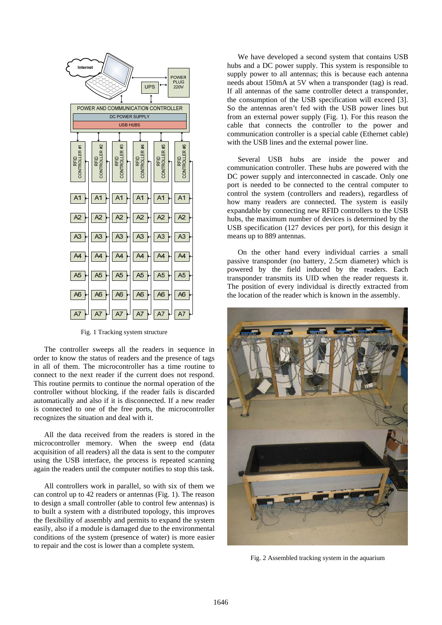

Fig. 1 Tracking system structure

The controller sweeps all the readers in sequence in order to know the status of readers and the presence of tags in all of them. The microcontroller has a time routine to connect to the next reader if the current does not respond. This routine permits to continue the normal operation of the controller without blocking, if the reader fails is discarded automatically and also if it is disconnected. If a new reader is connected to one of the free ports, the microcontroller recognizes the situation and deal with it.

All the data received from the readers is stored in the microcontroller memory. When the sweep end (data acquisition of all readers) all the data is sent to the computer using the USB interface, the process is repeated scanning again the readers until the computer notifies to stop this task.

All controllers work in parallel, so with six of them we can control up to 42 readers or antennas (Fig. 1). The reason to design a small controller (able to control few antennas) is to built a system with a distributed topology, this improves the flexibility of assembly and permits to expand the system easily, also if a module is damaged due to the environmental conditions of the system (presence of water) is more easier to repair and the cost is lower than a complete system.

We have developed a second system that contains USB hubs and a DC power supply. This system is responsible to supply power to all antennas; this is because each antenna needs about 150mA at 5V when a transponder (tag) is read. If all antennas of the same controller detect a transponder, the consumption of the USB specification will exceed [3]. So the antennas aren't fed with the USB power lines but from an external power supply (Fig. 1). For this reason the cable that connects the controller to the power and communication controller is a special cable (Ethernet cable) with the USB lines and the external power line.

Several USB hubs are inside the power and communication controller. These hubs are powered with the DC power supply and interconnected in cascade. Only one port is needed to be connected to the central computer to control the system (controllers and readers), regardless of how many readers are connected. The system is easily expandable by connecting new RFID controllers to the USB hubs, the maximum number of devices is determined by the USB specification (127 devices per port), for this design it means up to 889 antennas.

On the other hand every individual carries a small passive transponder (no battery, 2.5cm diameter) which is powered by the field induced by the readers. Each transponder transmits its UID when the reader requests it. The position of every individual is directly extracted from the location of the reader which is known in the assembly.



Fig. 2 Assembled tracking system in the aquarium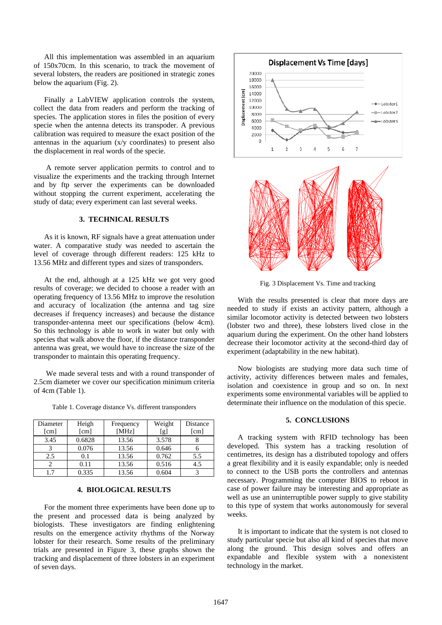All this implementation was assembled in an aquarium of 150x70cm. In this scenario, to track the movement of several lobsters, the readers are positioned in strategic zones below the aquarium (Fig. 2).

Finally a LabVIEW application controls the system, collect the data from readers and perform the tracking of species. The application stores in files the position of every specie when the antenna detects its transpoder. A previous calibration was required to measure the exact position of the antennas in the aquarium (x/y coordinates) to present also the displacement in real words of the specie.

 A remote server application permits to control and to visualize the experiments and the tracking through Internet and by ftp server the experiments can be downloaded without stopping the current experiment, accelerating the study of data; every experiment can last several weeks.

## **3. TECHNICAL RESULTS**

As it is known, RF signals have a great attenuation under water. A comparative study was needed to ascertain the level of coverage through different readers: 125 kHz to 13.56 MHz and different types and sizes of transponders.

At the end, although at a 125 kHz we got very good results of coverage; we decided to choose a reader with an operating frequency of 13.56 MHz to improve the resolution and accuracy of localization (the antenna and tag size decreases if frequency increases) and because the distance transponder-antenna meet our specifications (below 4cm). So this technology is able to work in water but only with species that walk above the floor, if the distance transponder antenna was great, we would have to increase the size of the transponder to maintain this operating frequency.

 We made several tests and with a round transponder of 2.5cm diameter we cover our specification minimum criteria of 4cm (Table 1).

Table 1. Coverage distance Vs. different transponders

| Diameter             | Heigh  | Frequency | Weight | Distance |
|----------------------|--------|-----------|--------|----------|
| $\lceil$ cm $\rceil$ | [cm]   | [MHz]     | [g]    | [cm]     |
| 3.45                 | 0.6828 | 13.56     | 3.578  |          |
|                      | 0.076  | 13.56     | 0.646  |          |
| 2.5                  | 0.1    | 13.56     | 0.762  | 5.5      |
|                      | 0.11   | 13.56     | 0.516  | 4.5      |
|                      | 0.335  | 13.56     | 0.604  |          |

#### **4. BIOLOGICAL RESULTS**

For the moment three experiments have been done up to the present and processed data is being analyzed by biologists. These investigators are finding enlightening results on the emergence activity rhythms of the Norway lobster for their research. Some results of the preliminary trials are presented in Figure 3, these graphs shown the tracking and displacement of three lobsters in an experiment of seven days.





Fig. 3 Displacement Vs. Time and tracking

With the results presented is clear that more days are needed to study if exists an activity pattern, although a similar locomotor activity is detected between two lobsters (lobster two and three), these lobsters lived close in the aquarium during the experiment. On the other hand lobsters decrease their locomotor activity at the second-third day of experiment (adaptability in the new habitat).

Now biologists are studying more data such time of activity, activity differences between males and females, isolation and coexistence in group and so on. In next experiments some environmental variables will be applied to determinate their influence on the modulation of this specie.

## **5. CONCLUSIONS**

A tracking system with RFID technology has been developed. This system has a tracking resolution of centimetres, its design has a distributed topology and offers a great flexibility and it is easily expandable; only is needed to connect to the USB ports the controllers and antennas necessary. Programming the computer BIOS to reboot in case of power failure may be interesting and appropriate as well as use an uninterruptible power supply to give stability to this type of system that works autonomously for several weeks.

It is important to indicate that the system is not closed to study particular specie but also all kind of species that move along the ground. This design solves and offers an expandable and flexible system with a nonexistent technology in the market.